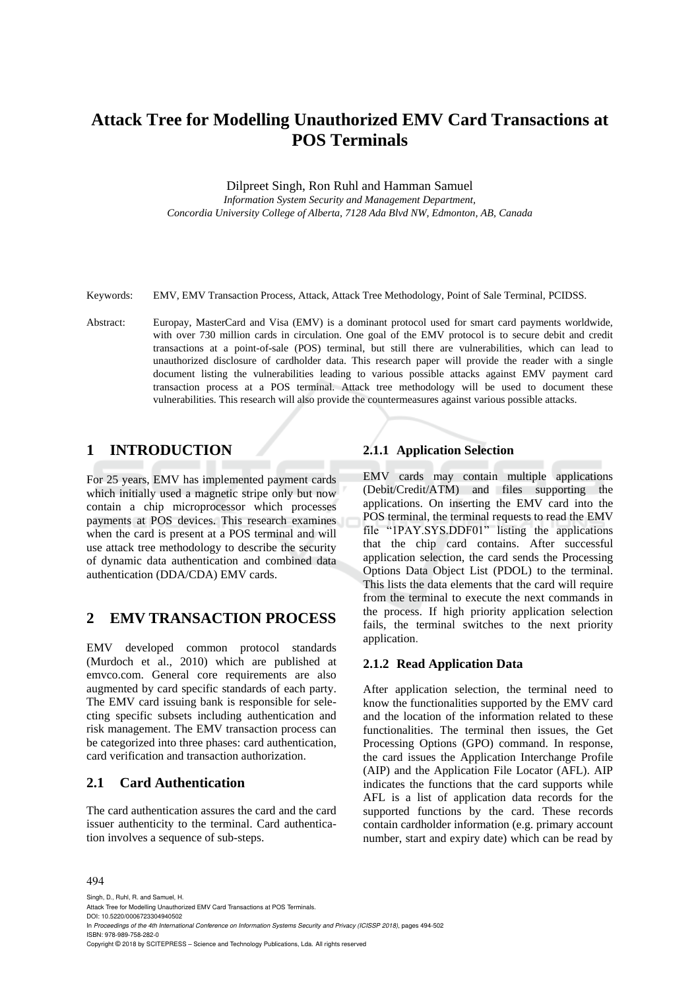# **Attack Tree for Modelling Unauthorized EMV Card Transactions at POS Terminals**

Dilpreet Singh, Ron Ruhl and Hamman Samuel

*Information System Security and Management Department, Concordia University College of Alberta, 7128 Ada Blvd NW, Edmonton, AB, Canada*

Keywords: EMV, EMV Transaction Process, Attack, Attack Tree Methodology, Point of Sale Terminal, PCIDSS.

Abstract: Europay, MasterCard and Visa (EMV) is a dominant protocol used for smart card payments worldwide, with over 730 million cards in circulation. One goal of the EMV protocol is to secure debit and credit transactions at a point-of-sale (POS) terminal, but still there are vulnerabilities, which can lead to unauthorized disclosure of cardholder data. This research paper will provide the reader with a single document listing the vulnerabilities leading to various possible attacks against EMV payment card transaction process at a POS terminal. Attack tree methodology will be used to document these vulnerabilities. This research will also provide the countermeasures against various possible attacks.

## **1 INTRODUCTION**

For 25 years, EMV has implemented payment cards which initially used a magnetic stripe only but now contain a chip microprocessor which processes payments at POS devices. This research examines when the card is present at a POS terminal and will use attack tree methodology to describe the security of dynamic data authentication and combined data authentication (DDA/CDA) EMV cards.

## **2 EMV TRANSACTION PROCESS**

EMV developed common protocol standards (Murdoch et al., 2010) which are published at emvco.com. General core requirements are also augmented by card specific standards of each party. The EMV card issuing bank is responsible for selecting specific subsets including authentication and risk management. The EMV transaction process can be categorized into three phases: card authentication, card verification and transaction authorization.

## **2.1 Card Authentication**

The card authentication assures the card and the card issuer authenticity to the terminal. Card authentication involves a sequence of sub-steps.

### **2.1.1 Application Selection**

EMV cards may contain multiple applications (Debit/Credit/ATM) and files supporting the applications. On inserting the EMV card into the POS terminal, the terminal requests to read the EMV file "1PAY.SYS.DDF01" listing the applications that the chip card contains. After successful application selection, the card sends the Processing Options Data Object List (PDOL) to the terminal. This lists the data elements that the card will require from the terminal to execute the next commands in the process. If high priority application selection fails, the terminal switches to the next priority application.

## **2.1.2 Read Application Data**

After application selection, the terminal need to know the functionalities supported by the EMV card and the location of the information related to these functionalities. The terminal then issues, the Get Processing Options (GPO) command. In response, the card issues the Application Interchange Profile (AIP) and the Application File Locator (AFL). AIP indicates the functions that the card supports while AFL is a list of application data records for the supported functions by the card. These records contain cardholder information (e.g. primary account number, start and expiry date) which can be read by

#### 494

Singh, D., Ruhl, R. and Samuel, H. Attack Tree for Modelling Unauthorized EMV Card Transactions at POS Terminals. DOI: 10.5220/0006723304940502 In *Proceedings of the 4th International Conference on Information Systems Security and Privacy (ICISSP 2018)*, pages 494-502 ISBN: 978-989-758-282-0 Copyright © 2018 by SCITEPRESS – Science and Technology Publications, Lda. All rights reserved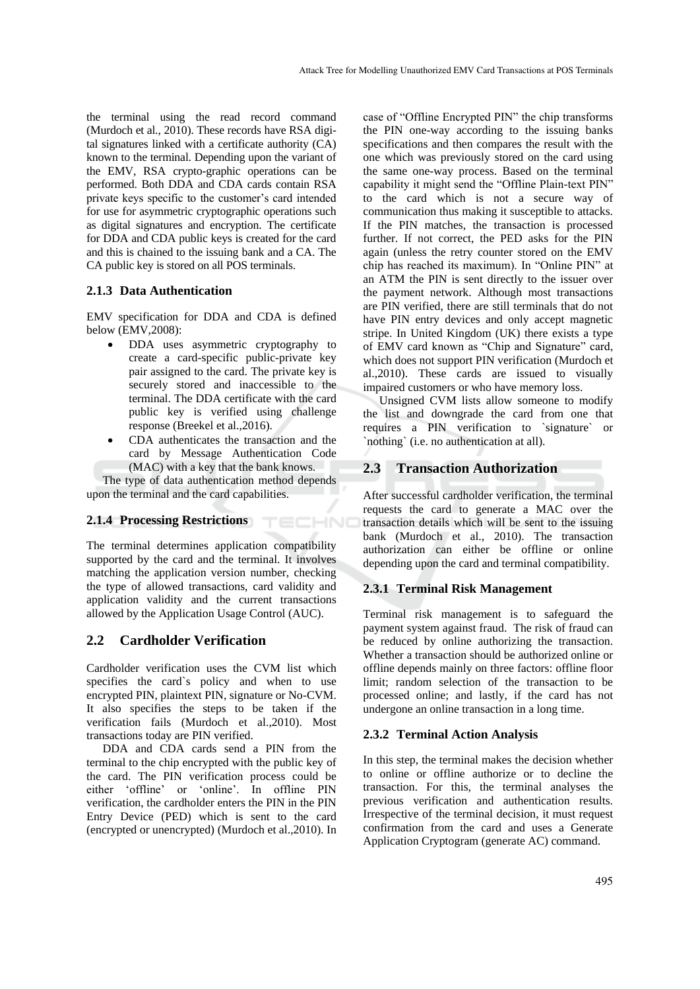the terminal using the read record command (Murdoch et al., 2010). These records have RSA digital signatures linked with a certificate authority (CA) known to the terminal. Depending upon the variant of the EMV, RSA crypto-graphic operations can be performed. Both DDA and CDA cards contain RSA private keys specific to the customer's card intended for use for asymmetric cryptographic operations such as digital signatures and encryption. The certificate for DDA and CDA public keys is created for the card and this is chained to the issuing bank and a CA. The CA public key is stored on all POS terminals.

### **2.1.3 Data Authentication**

EMV specification for DDA and CDA is defined below (EMV,2008):

- DDA uses asymmetric cryptography to create a card-specific public-private key pair assigned to the card. The private key is securely stored and inaccessible to the terminal. The DDA certificate with the card public key is verified using challenge response (Breekel et al.,2016).
- CDA authenticates the transaction and the card by Message Authentication Code (MAC) with a key that the bank knows.

TECHNO

The type of data authentication method depends upon the terminal and the card capabilities.

## **2.1.4 Processing Restrictions**

The terminal determines application compatibility supported by the card and the terminal. It involves matching the application version number, checking the type of allowed transactions, card validity and application validity and the current transactions allowed by the Application Usage Control (AUC).

## **2.2 Cardholder Verification**

Cardholder verification uses the CVM list which specifies the card`s policy and when to use encrypted PIN, plaintext PIN, signature or No-CVM. It also specifies the steps to be taken if the verification fails (Murdoch et al.,2010). Most transactions today are PIN verified.

DDA and CDA cards send a PIN from the terminal to the chip encrypted with the public key of the card. The PIN verification process could be either 'offline' or 'online'. In offline PIN verification, the cardholder enters the PIN in the PIN Entry Device (PED) which is sent to the card (encrypted or unencrypted) (Murdoch et al.,2010). In

case of "Offline Encrypted PIN" the chip transforms the PIN one-way according to the issuing banks specifications and then compares the result with the one which was previously stored on the card using the same one-way process. Based on the terminal capability it might send the "Offline Plain-text PIN" to the card which is not a secure way of communication thus making it susceptible to attacks. If the PIN matches, the transaction is processed further. If not correct, the PED asks for the PIN again (unless the retry counter stored on the EMV chip has reached its maximum). In "Online PIN" at an ATM the PIN is sent directly to the issuer over the payment network. Although most transactions are PIN verified, there are still terminals that do not have PIN entry devices and only accept magnetic stripe. In United Kingdom (UK) there exists a type of EMV card known as "Chip and Signature" card, which does not support PIN verification (Murdoch et al.,2010). These cards are issued to visually impaired customers or who have memory loss.

Unsigned CVM lists allow someone to modify the list and downgrade the card from one that requires a PIN verification to `signature` or `nothing` (i.e. no authentication at all).

## **2.3 Transaction Authorization**

After successful cardholder verification, the terminal requests the card to generate a MAC over the transaction details which will be sent to the issuing bank (Murdoch et al., 2010). The transaction authorization can either be offline or online depending upon the card and terminal compatibility.

### **2.3.1 Terminal Risk Management**

Terminal risk management is to safeguard the payment system against fraud. The risk of fraud can be reduced by online authorizing the transaction. Whether a transaction should be authorized online or offline depends mainly on three factors: offline floor limit; random selection of the transaction to be processed online; and lastly, if the card has not undergone an online transaction in a long time.

### **2.3.2 Terminal Action Analysis**

In this step, the terminal makes the decision whether to online or offline authorize or to decline the transaction. For this, the terminal analyses the previous verification and authentication results. Irrespective of the terminal decision, it must request confirmation from the card and uses a Generate Application Cryptogram (generate AC) command.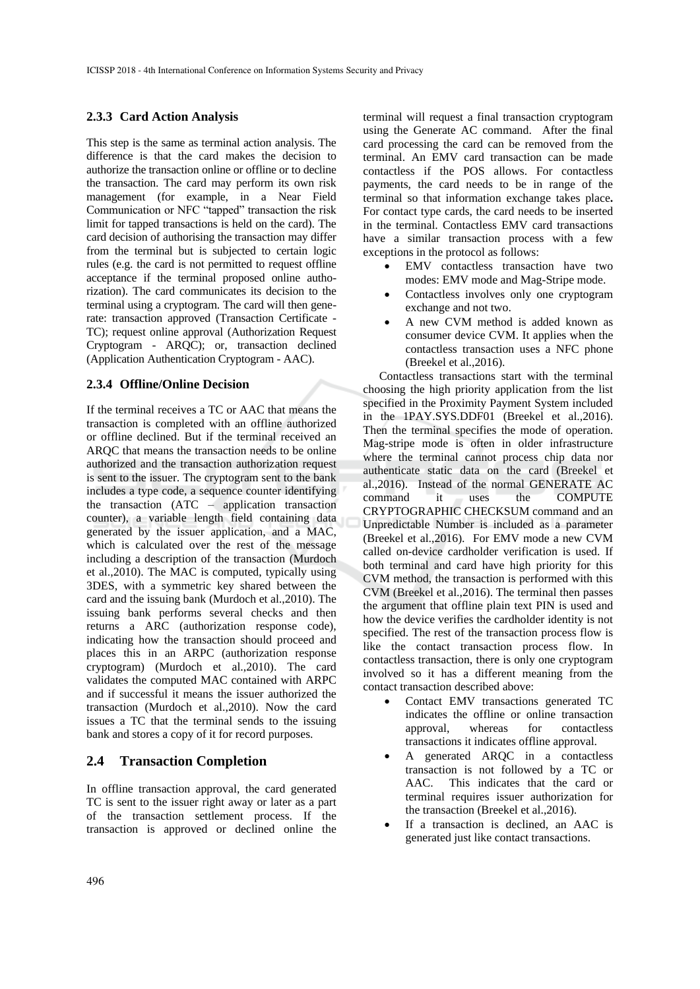### **2.3.3 Card Action Analysis**

This step is the same as terminal action analysis. The difference is that the card makes the decision to authorize the transaction online or offline or to decline the transaction. The card may perform its own risk management (for example, in a Near Field Communication or NFC "tapped" transaction the risk limit for tapped transactions is held on the card). The card decision of authorising the transaction may differ from the terminal but is subjected to certain logic rules (e.g. the card is not permitted to request offline acceptance if the terminal proposed online authorization). The card communicates its decision to the terminal using a cryptogram. The card will then generate: transaction approved (Transaction Certificate - TC); request online approval (Authorization Request Cryptogram - ARQC); or, transaction declined (Application Authentication Cryptogram - AAC).

### **2.3.4 Offline/Online Decision**

If the terminal receives a TC or AAC that means the transaction is completed with an offline authorized or offline declined. But if the terminal received an ARQC that means the transaction needs to be online authorized and the transaction authorization request is sent to the issuer. The cryptogram sent to the bank includes a type code, a sequence counter identifying the transaction (ATC – application transaction counter), a variable length field containing data generated by the issuer application, and a MAC, which is calculated over the rest of the message including a description of the transaction (Murdoch et al.,2010). The MAC is computed, typically using 3DES, with a symmetric key shared between the card and the issuing bank (Murdoch et al.,2010). The issuing bank performs several checks and then returns a ARC (authorization response code), indicating how the transaction should proceed and places this in an ARPC (authorization response cryptogram) (Murdoch et al.,2010). The card validates the computed MAC contained with ARPC and if successful it means the issuer authorized the transaction (Murdoch et al.,2010). Now the card issues a TC that the terminal sends to the issuing bank and stores a copy of it for record purposes.

### **2.4 Transaction Completion**

In offline transaction approval, the card generated TC is sent to the issuer right away or later as a part of the transaction settlement process. If the transaction is approved or declined online the

terminal will request a final transaction cryptogram using the Generate AC command. After the final card processing the card can be removed from the terminal. An EMV card transaction can be made contactless if the POS allows. For contactless payments, the card needs to be in range of the terminal so that information exchange takes place**.**  For contact type cards, the card needs to be inserted in the terminal. Contactless EMV card transactions have a similar transaction process with a few exceptions in the protocol as follows:

- EMV contactless transaction have two modes: EMV mode and Mag-Stripe mode.
- Contactless involves only one cryptogram exchange and not two.
- A new CVM method is added known as consumer device CVM. It applies when the contactless transaction uses a NFC phone (Breekel et al.,2016).

Contactless transactions start with the terminal choosing the high priority application from the list specified in the Proximity Payment System included in the 1PAY.SYS.DDF01 (Breekel et al.,2016). Then the terminal specifies the mode of operation. Mag-stripe mode is often in older infrastructure where the terminal cannot process chip data nor authenticate static data on the card (Breekel et al.,2016). Instead of the normal GENERATE AC command it uses the COMPUTE CRYPTOGRAPHIC CHECKSUM command and an Unpredictable Number is included as a parameter (Breekel et al.,2016). For EMV mode a new CVM called on-device cardholder verification is used. If both terminal and card have high priority for this CVM method, the transaction is performed with this CVM (Breekel et al.,2016). The terminal then passes the argument that offline plain text PIN is used and how the device verifies the cardholder identity is not specified. The rest of the transaction process flow is like the contact transaction process flow. In contactless transaction, there is only one cryptogram involved so it has a different meaning from the contact transaction described above:

- Contact EMV transactions generated TC indicates the offline or online transaction approval, whereas for contactless transactions it indicates offline approval.
- A generated ARQC in a contactless transaction is not followed by a TC or AAC. This indicates that the card or terminal requires issuer authorization for the transaction (Breekel et al.,2016).
- If a transaction is declined, an AAC is generated just like contact transactions.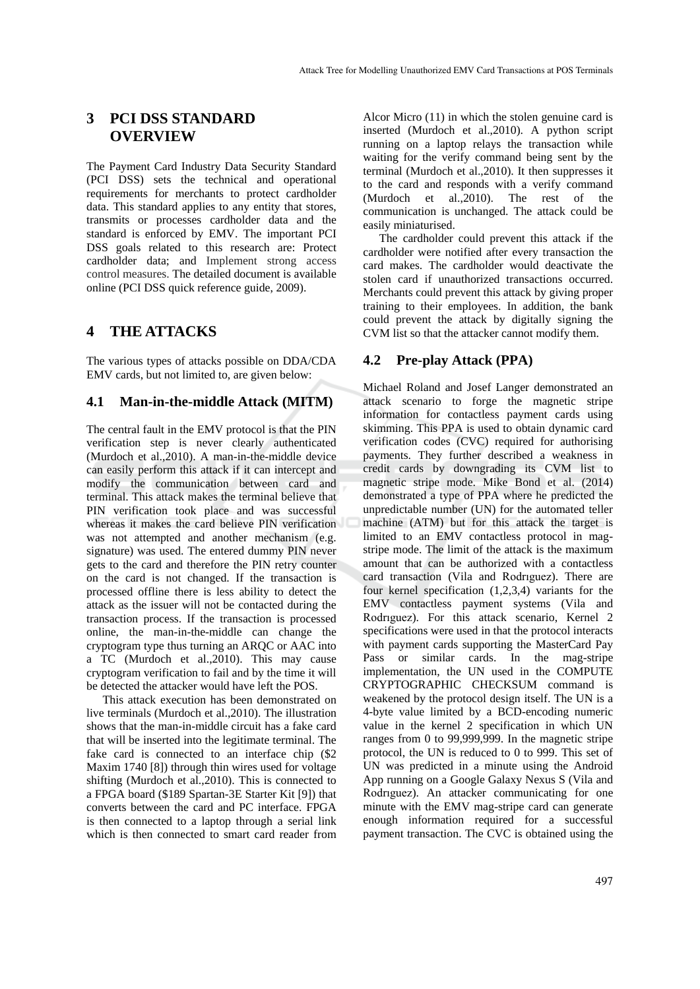## **3 PCI DSS STANDARD OVERVIEW**

The Payment Card Industry Data Security Standard (PCI DSS) sets the technical and operational requirements for merchants to protect cardholder data. This standard applies to any entity that stores, transmits or processes cardholder data and the standard is enforced by EMV. The important PCI DSS goals related to this research are: Protect cardholder data; and Implement strong access control measures. The detailed document is available online (PCI DSS quick reference guide, 2009).

## **4 THE ATTACKS**

The various types of attacks possible on DDA/CDA EMV cards, but not limited to, are given below:

### **4.1 Man-in-the-middle Attack (MITM)**

The central fault in the EMV protocol is that the PIN verification step is never clearly authenticated (Murdoch et al.,2010). A man-in-the-middle device can easily perform this attack if it can intercept and modify the communication between card and terminal. This attack makes the terminal believe that PIN verification took place and was successful whereas it makes the card believe PIN verification was not attempted and another mechanism (e.g. signature) was used. The entered dummy PIN never gets to the card and therefore the PIN retry counter on the card is not changed. If the transaction is processed offline there is less ability to detect the attack as the issuer will not be contacted during the transaction process. If the transaction is processed online, the man-in-the-middle can change the cryptogram type thus turning an ARQC or AAC into a TC (Murdoch et al.,2010). This may cause cryptogram verification to fail and by the time it will be detected the attacker would have left the POS.

This attack execution has been demonstrated on live terminals (Murdoch et al.,2010). The illustration shows that the man-in-middle circuit has a fake card that will be inserted into the legitimate terminal. The fake card is connected to an interface chip (\$2 Maxim 1740 [8]) through thin wires used for voltage shifting (Murdoch et al.,2010). This is connected to a FPGA board (\$189 Spartan-3E Starter Kit [9]) that converts between the card and PC interface. FPGA is then connected to a laptop through a serial link which is then connected to smart card reader from

Alcor Micro (11) in which the stolen genuine card is inserted (Murdoch et al.,2010). A python script running on a laptop relays the transaction while waiting for the verify command being sent by the terminal (Murdoch et al.,2010). It then suppresses it to the card and responds with a verify command (Murdoch et al.,2010). The rest of the communication is unchanged. The attack could be easily miniaturised.

The cardholder could prevent this attack if the cardholder were notified after every transaction the card makes. The cardholder would deactivate the stolen card if unauthorized transactions occurred. Merchants could prevent this attack by giving proper training to their employees. In addition, the bank could prevent the attack by digitally signing the CVM list so that the attacker cannot modify them.

### **4.2 Pre-play Attack (PPA)**

Michael Roland and Josef Langer demonstrated an attack scenario to forge the magnetic stripe information for contactless payment cards using skimming. This PPA is used to obtain dynamic card verification codes (CVC) required for authorising payments. They further described a weakness in credit cards by downgrading its CVM list to magnetic stripe mode. Mike Bond et al. (2014) demonstrated a type of PPA where he predicted the unpredictable number (UN) for the automated teller machine (ATM) but for this attack the target is limited to an EMV contactless protocol in magstripe mode. The limit of the attack is the maximum amount that can be authorized with a contactless card transaction (Vila and Rodrıguez). There are four kernel specification (1,2,3,4) variants for the EMV contactless payment systems (Vila and Rodrıguez). For this attack scenario, Kernel 2 specifications were used in that the protocol interacts with payment cards supporting the MasterCard Pay Pass or similar cards. In the mag-stripe implementation, the UN used in the COMPUTE CRYPTOGRAPHIC CHECKSUM command is weakened by the protocol design itself. The UN is a 4-byte value limited by a BCD-encoding numeric value in the kernel 2 specification in which UN ranges from 0 to 99,999,999. In the magnetic stripe protocol, the UN is reduced to 0 to 999. This set of UN was predicted in a minute using the Android App running on a Google Galaxy Nexus S (Vila and Rodrıguez). An attacker communicating for one minute with the EMV mag-stripe card can generate enough information required for a successful payment transaction. The CVC is obtained using the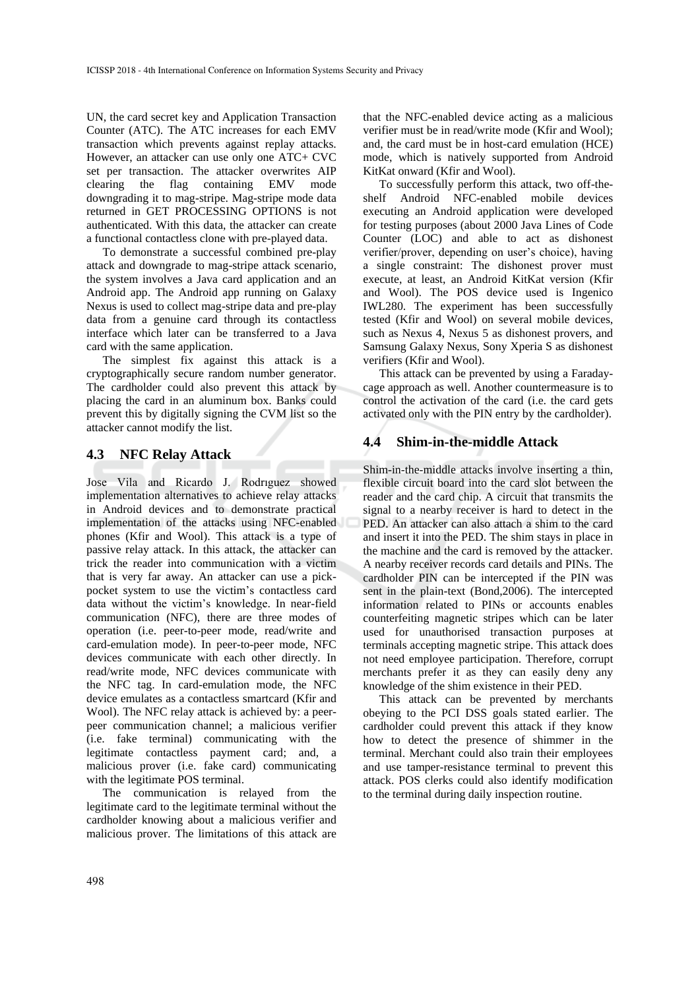UN, the card secret key and Application Transaction Counter (ATC). The ATC increases for each EMV transaction which prevents against replay attacks. However, an attacker can use only one ATC+ CVC set per transaction. The attacker overwrites AIP clearing the flag containing EMV mode downgrading it to mag-stripe. Mag-stripe mode data returned in GET PROCESSING OPTIONS is not authenticated. With this data, the attacker can create a functional contactless clone with pre-played data.

To demonstrate a successful combined pre-play attack and downgrade to mag-stripe attack scenario, the system involves a Java card application and an Android app. The Android app running on Galaxy Nexus is used to collect mag-stripe data and pre-play data from a genuine card through its contactless interface which later can be transferred to a Java card with the same application.

The simplest fix against this attack is a cryptographically secure random number generator. The cardholder could also prevent this attack by placing the card in an aluminum box. Banks could prevent this by digitally signing the CVM list so the attacker cannot modify the list.

### **4.3 NFC Relay Attack**

Jose Vila and Ricardo J. Rodrıguez showed implementation alternatives to achieve relay attacks in Android devices and to demonstrate practical implementation of the attacks using NFC-enabled phones (Kfir and Wool). This attack is a type of passive relay attack. In this attack, the attacker can trick the reader into communication with a victim that is very far away. An attacker can use a pickpocket system to use the victim's contactless card data without the victim's knowledge. In near-field communication (NFC), there are three modes of operation (i.e. peer-to-peer mode, read/write and card-emulation mode). In peer-to-peer mode, NFC devices communicate with each other directly. In read/write mode, NFC devices communicate with the NFC tag. In card-emulation mode, the NFC device emulates as a contactless smartcard (Kfir and Wool). The NFC relay attack is achieved by: a peerpeer communication channel; a malicious verifier (i.e. fake terminal) communicating with the legitimate contactless payment card; and, a malicious prover (i.e. fake card) communicating with the legitimate POS terminal.

The communication is relayed from the legitimate card to the legitimate terminal without the cardholder knowing about a malicious verifier and malicious prover. The limitations of this attack are

that the NFC-enabled device acting as a malicious verifier must be in read/write mode (Kfir and Wool); and, the card must be in host-card emulation (HCE) mode, which is natively supported from Android KitKat onward (Kfir and Wool).

To successfully perform this attack, two off-theshelf Android NFC-enabled mobile devices executing an Android application were developed for testing purposes (about 2000 Java Lines of Code Counter (LOC) and able to act as dishonest verifier/prover, depending on user's choice), having a single constraint: The dishonest prover must execute, at least, an Android KitKat version (Kfir and Wool). The POS device used is Ingenico IWL280. The experiment has been successfully tested (Kfir and Wool) on several mobile devices, such as Nexus 4, Nexus 5 as dishonest provers, and Samsung Galaxy Nexus, Sony Xperia S as dishonest verifiers (Kfir and Wool).

This attack can be prevented by using a Faradaycage approach as well. Another countermeasure is to control the activation of the card (i.e. the card gets activated only with the PIN entry by the cardholder).

## **4.4 Shim-in-the-middle Attack**

Shim-in-the-middle attacks involve inserting a thin, flexible circuit board into the card slot between the reader and the card chip. A circuit that transmits the signal to a nearby receiver is hard to detect in the PED. An attacker can also attach a shim to the card and insert it into the PED. The shim stays in place in the machine and the card is removed by the attacker. A nearby receiver records card details and PINs. The cardholder PIN can be intercepted if the PIN was sent in the plain-text (Bond,2006). The intercepted information related to PINs or accounts enables counterfeiting magnetic stripes which can be later used for unauthorised transaction purposes at terminals accepting magnetic stripe. This attack does not need employee participation. Therefore, corrupt merchants prefer it as they can easily deny any knowledge of the shim existence in their PED.

This attack can be prevented by merchants obeying to the PCI DSS goals stated earlier. The cardholder could prevent this attack if they know how to detect the presence of shimmer in the terminal. Merchant could also train their employees and use tamper-resistance terminal to prevent this attack. POS clerks could also identify modification to the terminal during daily inspection routine.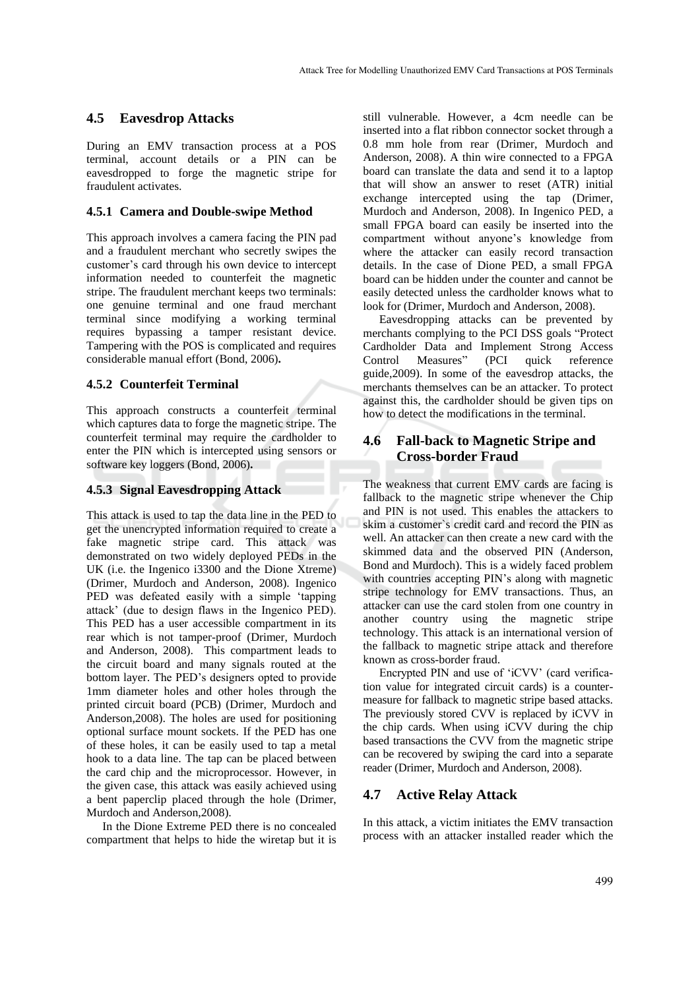### **4.5 Eavesdrop Attacks**

During an EMV transaction process at a POS terminal, account details or a PIN can be eavesdropped to forge the magnetic stripe for fraudulent activates.

#### **4.5.1 Camera and Double-swipe Method**

This approach involves a camera facing the PIN pad and a fraudulent merchant who secretly swipes the customer's card through his own device to intercept information needed to counterfeit the magnetic stripe. The fraudulent merchant keeps two terminals: one genuine terminal and one fraud merchant terminal since modifying a working terminal requires bypassing a tamper resistant device. Tampering with the POS is complicated and requires considerable manual effort (Bond, 2006)**.**

#### **4.5.2 Counterfeit Terminal**

This approach constructs a counterfeit terminal which captures data to forge the magnetic stripe. The counterfeit terminal may require the cardholder to enter the PIN which is intercepted using sensors or software key loggers (Bond, 2006)**.**

#### **4.5.3 Signal Eavesdropping Attack**

This attack is used to tap the data line in the PED to get the unencrypted information required to create a fake magnetic stripe card. This attack was demonstrated on two widely deployed PEDs in the UK (i.e. the Ingenico i3300 and the Dione Xtreme) (Drimer, Murdoch and Anderson, 2008). Ingenico PED was defeated easily with a simple 'tapping attack' (due to design flaws in the Ingenico PED). This PED has a user accessible compartment in its rear which is not tamper-proof (Drimer, Murdoch and Anderson, 2008). This compartment leads to the circuit board and many signals routed at the bottom layer. The PED's designers opted to provide 1mm diameter holes and other holes through the printed circuit board (PCB) (Drimer, Murdoch and Anderson,2008). The holes are used for positioning optional surface mount sockets. If the PED has one of these holes, it can be easily used to tap a metal hook to a data line. The tap can be placed between the card chip and the microprocessor. However, in the given case, this attack was easily achieved using a bent paperclip placed through the hole (Drimer, Murdoch and Anderson,2008).

In the Dione Extreme PED there is no concealed compartment that helps to hide the wiretap but it is

still vulnerable. However, a 4cm needle can be inserted into a flat ribbon connector socket through a 0.8 mm hole from rear (Drimer, Murdoch and Anderson, 2008). A thin wire connected to a FPGA board can translate the data and send it to a laptop that will show an answer to reset (ATR) initial exchange intercepted using the tap (Drimer, Murdoch and Anderson, 2008). In Ingenico PED, a small FPGA board can easily be inserted into the compartment without anyone's knowledge from where the attacker can easily record transaction details. In the case of Dione PED, a small FPGA board can be hidden under the counter and cannot be easily detected unless the cardholder knows what to look for (Drimer, Murdoch and Anderson, 2008).

Eavesdropping attacks can be prevented by merchants complying to the PCI DSS goals "Protect Cardholder Data and Implement Strong Access Control Measures" (PCI quick reference guide,2009). In some of the eavesdrop attacks, the merchants themselves can be an attacker. To protect against this, the cardholder should be given tips on how to detect the modifications in the terminal.

## **4.6 Fall-back to Magnetic Stripe and Cross-border Fraud**

The weakness that current EMV cards are facing is fallback to the magnetic stripe whenever the Chip and PIN is not used. This enables the attackers to skim a customer`s credit card and record the PIN as well. An attacker can then create a new card with the skimmed data and the observed PIN (Anderson, Bond and Murdoch). This is a widely faced problem with countries accepting PIN's along with magnetic stripe technology for EMV transactions. Thus, an attacker can use the card stolen from one country in another country using the magnetic stripe technology. This attack is an international version of the fallback to magnetic stripe attack and therefore known as cross-border fraud.

Encrypted PIN and use of 'iCVV' (card verification value for integrated circuit cards) is a countermeasure for fallback to magnetic stripe based attacks. The previously stored CVV is replaced by iCVV in the chip cards. When using iCVV during the chip based transactions the CVV from the magnetic stripe can be recovered by swiping the card into a separate reader (Drimer, Murdoch and Anderson, 2008).

### **4.7 Active Relay Attack**

In this attack, a victim initiates the EMV transaction process with an attacker installed reader which the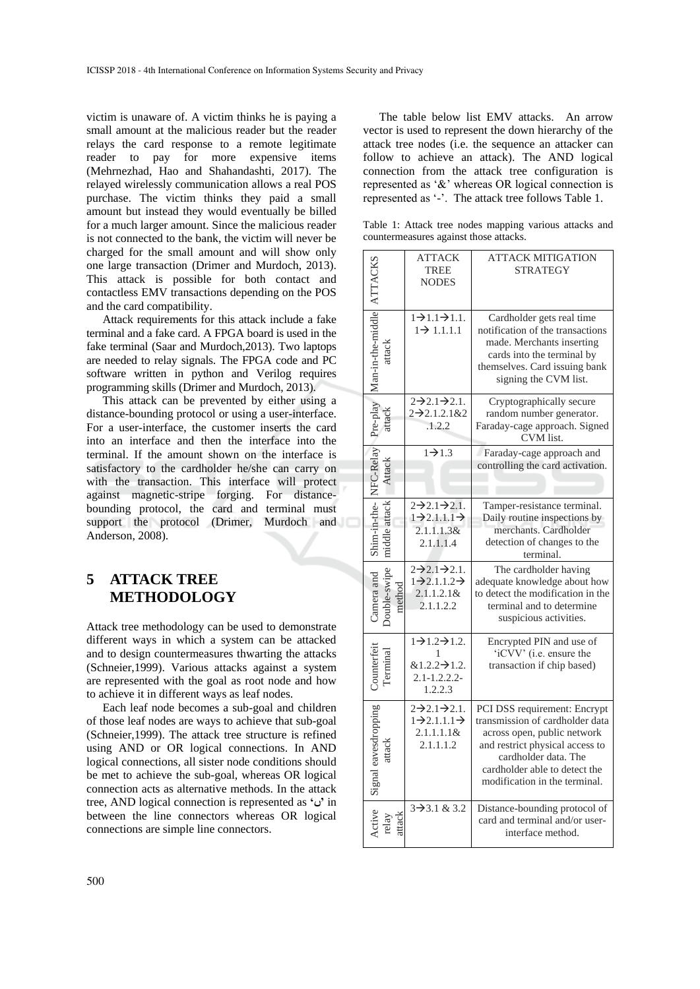victim is unaware of. A victim thinks he is paying a small amount at the malicious reader but the reader relays the card response to a remote legitimate reader to pay for more expensive items (Mehrnezhad, Hao and Shahandashti, 2017). The relayed wirelessly communication allows a real POS purchase. The victim thinks they paid a small amount but instead they would eventually be billed for a much larger amount. Since the malicious reader is not connected to the bank, the victim will never be charged for the small amount and will show only one large transaction (Drimer and Murdoch, 2013). This attack is possible for both contact and contactless EMV transactions depending on the POS and the card compatibility.

Attack requirements for this attack include a fake terminal and a fake card. A FPGA board is used in the fake terminal (Saar and Murdoch,2013). Two laptops are needed to relay signals. The FPGA code and PC software written in python and Verilog requires programming skills (Drimer and Murdoch, 2013).

This attack can be prevented by either using a distance-bounding protocol or using a user-interface. For a user-interface, the customer inserts the card into an interface and then the interface into the terminal. If the amount shown on the interface is satisfactory to the cardholder he/she can carry on with the transaction. This interface will protect against magnetic-stripe forging. For distancebounding protocol, the card and terminal must support the protocol (Drimer, Murdoch and Anderson, 2008).

## **5 ATTACK TREE METHODOLOGY**

Attack tree methodology can be used to demonstrate different ways in which a system can be attacked and to design countermeasures thwarting the attacks (Schneier,1999). Various attacks against a system are represented with the goal as root node and how to achieve it in different ways as leaf nodes.

Each leaf node becomes a sub-goal and children of those leaf nodes are ways to achieve that sub-goal (Schneier,1999). The attack tree structure is refined using AND or OR logical connections. In AND logical connections, all sister node conditions should be met to achieve the sub-goal, whereas OR logical connection acts as alternative methods. In the attack tree, AND logical connection is represented as **'ں '**in between the line connectors whereas OR logical connections are simple line connectors.

The table below list EMV attacks. An arrow vector is used to represent the down hierarchy of the attack tree nodes (i.e. the sequence an attacker can follow to achieve an attack). The AND logical connection from the attack tree configuration is represented as '&' whereas OR logical connection is represented as '-'. The attack tree follows Table 1.

Table 1: Attack tree nodes mapping various attacks and countermeasures against those attacks.

|  |                      | <b>ATTACK</b><br><b>TREE</b><br><b>NODES</b>                                                           | <b>ATTACK MITIGATION</b><br><b>STRATEGY</b>                                                                                                                                                                                 |
|--|----------------------|--------------------------------------------------------------------------------------------------------|-----------------------------------------------------------------------------------------------------------------------------------------------------------------------------------------------------------------------------|
|  | Man-in-the-middle    | $\overline{1}$ $\rightarrow$ 1.1 $\rightarrow$ 1.1.<br>$1 \rightarrow 1.1.1.1$                         | Cardholder gets real time<br>notification of the transactions<br>made. Merchants inserting<br>cards into the terminal by<br>themselves. Card issuing bank<br>signing the CVM list.                                          |
|  | Pre-play             | $2\rightarrow 2.1\rightarrow 2.1$ .<br>$2 - 2.1.2.1 & 2$<br>.1.2.2                                     | Cryptographically secure<br>random number generator.<br>Faraday-cage approach. Signed<br>CVM list.                                                                                                                          |
|  |                      | $1\rightarrow 1.3$                                                                                     | Faraday-cage approach and<br>controlling the card activation.                                                                                                                                                               |
|  |                      | $2\rightarrow 2.1\rightarrow 2.1$ .<br>$1\rightarrow 2.1.1.1\rightarrow$<br>2.1.1.1.38<br>2.1.1.1.4    | Tamper-resistance terminal.<br>Daily routine inspections by<br>merchants. Cardholder<br>detection of changes to the<br>terminal.                                                                                            |
|  | amera and            | $2\rightarrow 2.1\rightarrow 2.1$ .<br>$1\rightarrow 2.1.1.2\rightarrow$<br>$2.1.1.2.1$ &<br>2.1.1.2.2 | The cardholder having<br>adequate knowledge about how<br>to detect the modification in the<br>terminal and to determine<br>suspicious activities.                                                                           |
|  |                      | $1\rightarrow 1.2\rightarrow 1.2$ .<br>1<br>$&1.2.2 \rightarrow 1.2.$<br>$2.1 - 1.2.2.2$<br>1.2.2.3    | Encrypted PIN and use of<br>'iCVV' (i.e. ensure the<br>transaction if chip based)                                                                                                                                           |
|  | Signal eavesdropping | $2\rightarrow 2.1\rightarrow 2.1$ .<br>$1\rightarrow 2.1.1.1\rightarrow$<br>$2.1.1.1.1$ &<br>2.1.1.1.2 | PCI DSS requirement: Encrypt<br>transmission of cardholder data<br>across open, public network<br>and restrict physical access to<br>cardholder data. The<br>cardholder able to detect the<br>modification in the terminal. |
|  |                      | $3 \rightarrow 3.1 \& 3.2$                                                                             | Distance-bounding protocol of<br>card and terminal and/or user-<br>interface method.                                                                                                                                        |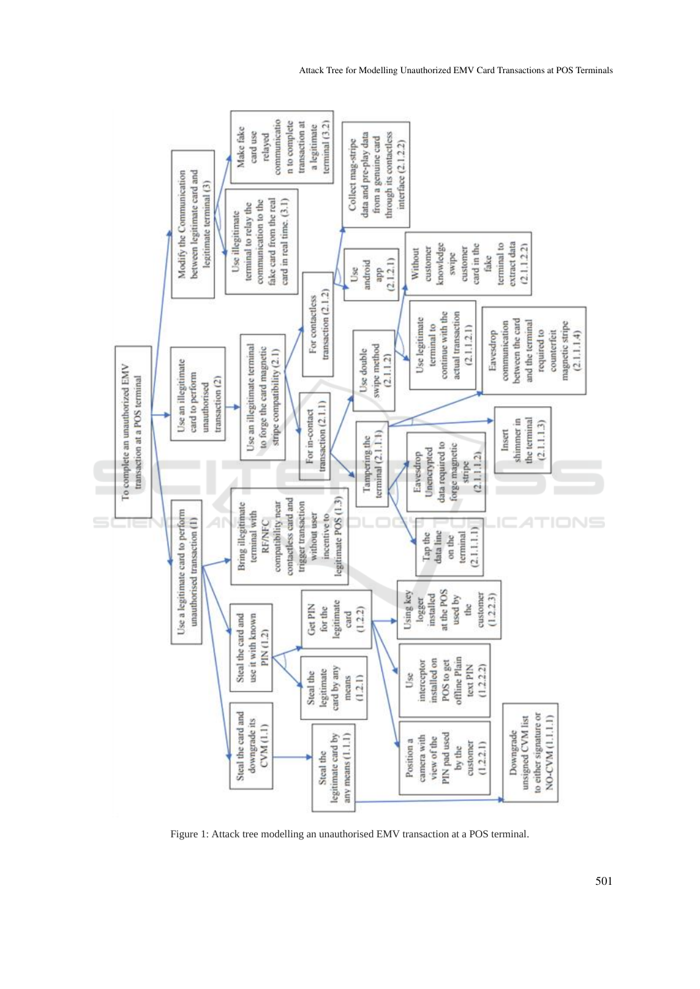

Figure 1: Attack tree modelling an unauthorised EMV transaction at a POS terminal.